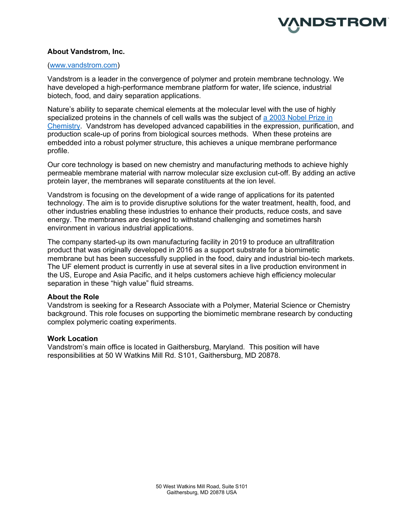

# About Vandstrom, Inc.

## (www.vandstrom.com)

Vandstrom is a leader in the convergence of polymer and protein membrane technology. We have developed a high-performance membrane platform for water, life science, industrial biotech, food, and dairy separation applications.

Nature's ability to separate chemical elements at the molecular level with the use of highly specialized proteins in the channels of cell walls was the subject of a 2003 Nobel Prize in Chemistry. Vandstrom has developed advanced capabilities in the expression, purification, and production scale-up of porins from biological sources methods. When these proteins are embedded into a robust polymer structure, this achieves a unique membrane performance profile.

Our core technology is based on new chemistry and manufacturing methods to achieve highly permeable membrane material with narrow molecular size exclusion cut-off. By adding an active protein layer, the membranes will separate constituents at the ion level.

Vandstrom is focusing on the development of a wide range of applications for its patented technology. The aim is to provide disruptive solutions for the water treatment, health, food, and other industries enabling these industries to enhance their products, reduce costs, and save energy. The membranes are designed to withstand challenging and sometimes harsh environment in various industrial applications.

The company started-up its own manufacturing facility in 2019 to produce an ultrafiltration product that was originally developed in 2016 as a support substrate for a biomimetic membrane but has been successfully supplied in the food, dairy and industrial bio-tech markets. The UF element product is currently in use at several sites in a live production environment in the US, Europe and Asia Pacific, and it helps customers achieve high efficiency molecular separation in these "high value" fluid streams.

## About the Role

Vandstrom is seeking for a Research Associate with a Polymer, Material Science or Chemistry background. This role focuses on supporting the biomimetic membrane research by conducting complex polymeric coating experiments.

### Work Location

Vandstrom's main office is located in Gaithersburg, Maryland. This position will have responsibilities at 50 W Watkins Mill Rd. S101, Gaithersburg, MD 20878.